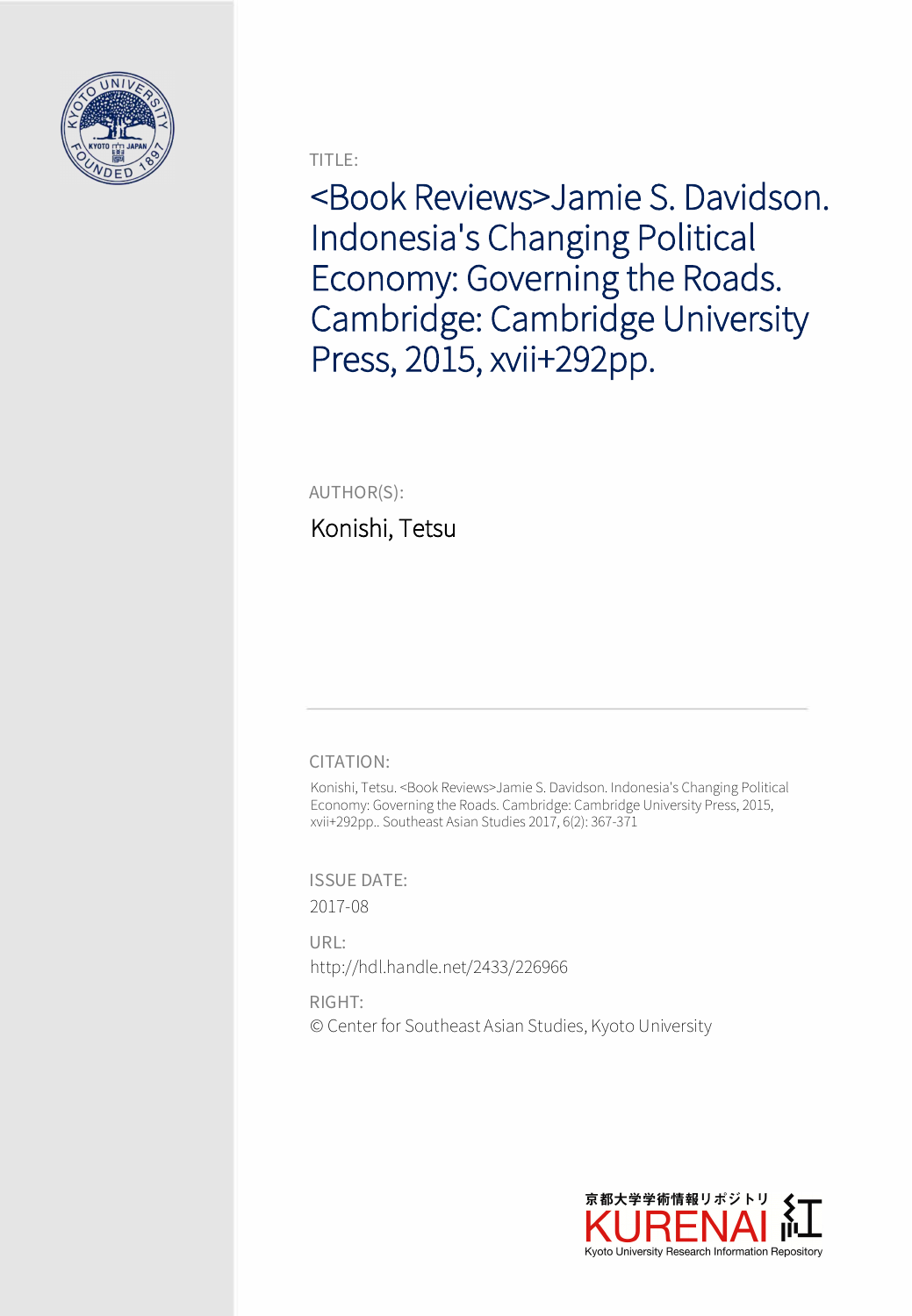

TITLE:

<Book Reviews>Jamie S. Davidson. Indonesia's Changing Political Economy: Governing the Roads. Cambridge: Cambridge University Press, 2015, xvii+292pp.

AUTHOR(S):

Konishi, Tetsu

## CITATION:

Konishi, Tetsu. <Book Reviews>Jamie S. Davidson. Indonesia's Changing Political Economy: Governing the Roads. Cambridge: Cambridge University Press, 2015, xvii+292pp.. Southeast Asian Studies 2017, 6(2): 367-371

ISSUE DATE: 2017-08

URL: http://hdl.handle.net/2433/226966

RIGHT: © Center for Southeast Asian Studies, Kyoto University

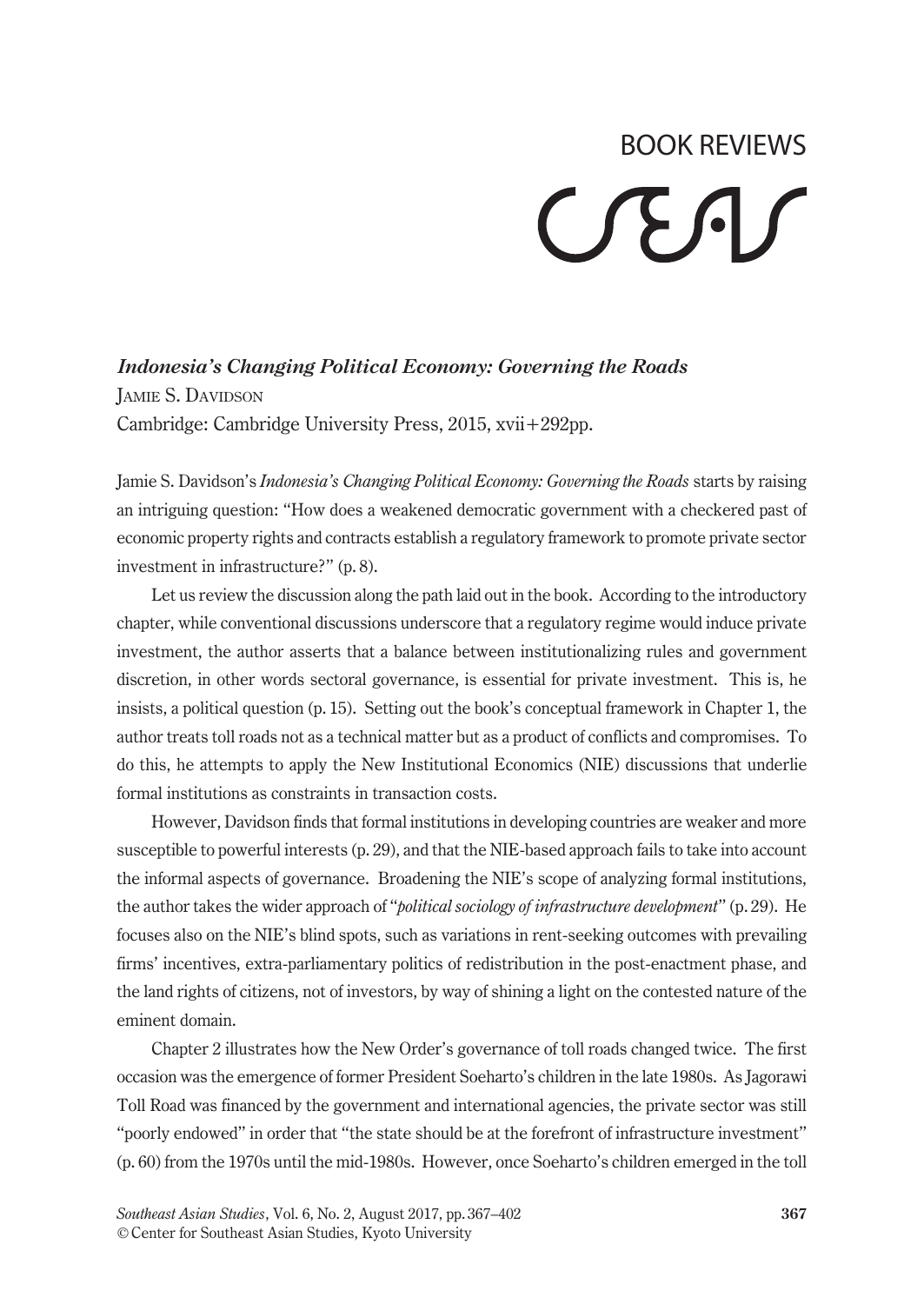# BOOK REVIEWS CEAS

*Indonesia's Changing Political Economy: Governing the Roads* Jamie S. Davidson Cambridge: Cambridge University Press, 2015, xvii+292pp.

Jamie S. Davidson's *Indonesia's Changing Political Economy: Governing the Roads* starts by raising an intriguing question: "How does a weakened democratic government with a checkered past of economic property rights and contracts establish a regulatory framework to promote private sector investment in infrastructure?" (p. 8).

Let us review the discussion along the path laid out in the book. According to the introductory chapter, while conventional discussions underscore that a regulatory regime would induce private investment, the author asserts that a balance between institutionalizing rules and government discretion, in other words sectoral governance, is essential for private investment. This is, he insists, a political question (p. 15). Setting out the book's conceptual framework in Chapter 1, the author treats toll roads not as a technical matter but as a product of conflicts and compromises. To do this, he attempts to apply the New Institutional Economics (NIE) discussions that underlie formal institutions as constraints in transaction costs.

However, Davidson finds that formal institutions in developing countries are weaker and more susceptible to powerful interests (p. 29), and that the NIE-based approach fails to take into account the informal aspects of governance. Broadening the NIE's scope of analyzing formal institutions, the author takes the wider approach of "*political sociology of infrastructure development*" (p. 29). He focuses also on the NIE's blind spots, such as variations in rent-seeking outcomes with prevailing firms' incentives, extra-parliamentary politics of redistribution in the post-enactment phase, and the land rights of citizens, not of investors, by way of shining a light on the contested nature of the eminent domain.

Chapter 2 illustrates how the New Order's governance of toll roads changed twice. The first occasion was the emergence of former President Soeharto's children in the late 1980s. As Jagorawi Toll Road was financed by the government and international agencies, the private sector was still "poorly endowed" in order that "the state should be at the forefront of infrastructure investment" (p. 60) from the 1970s until the mid-1980s. However, once Soeharto's children emerged in the toll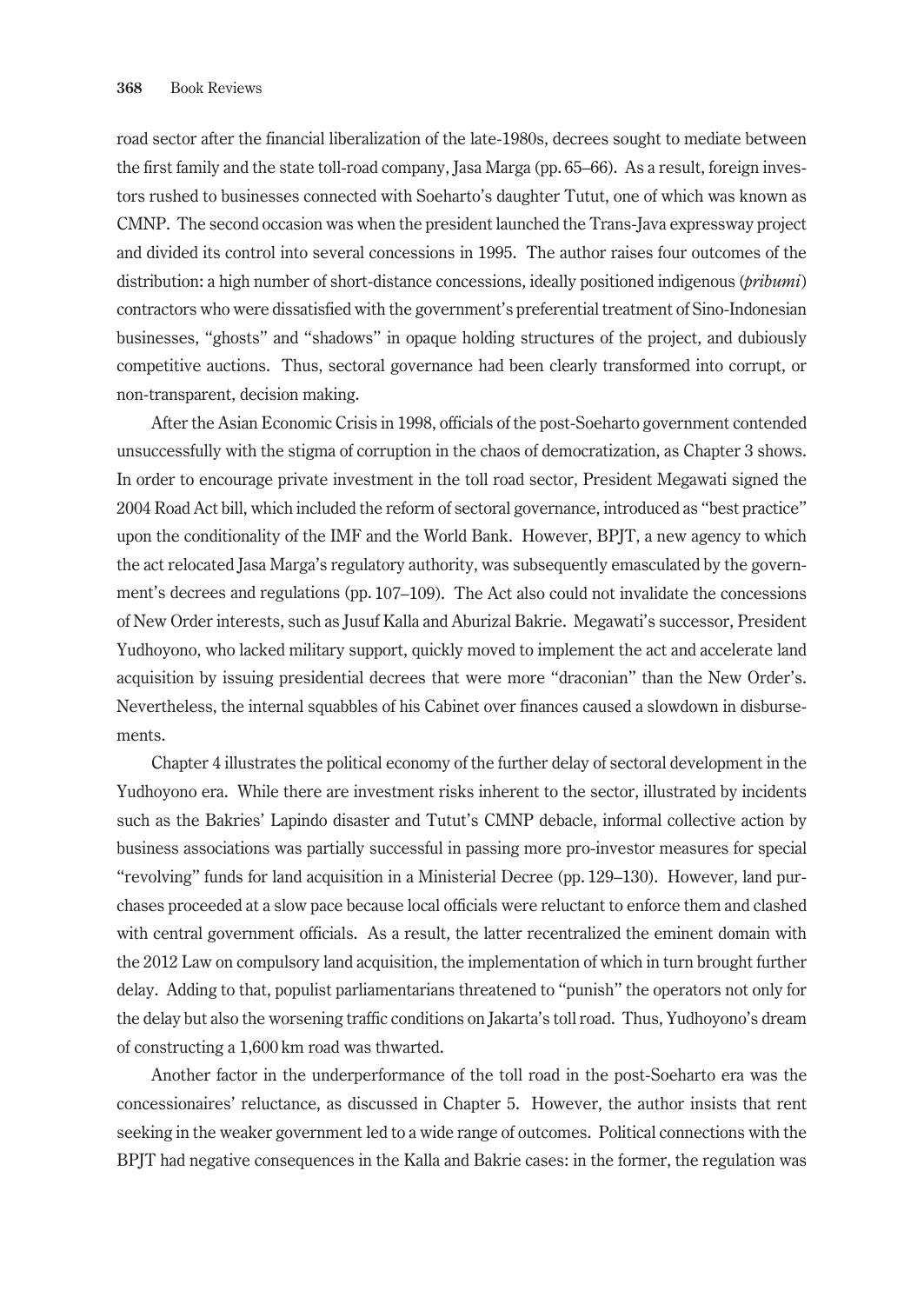road sector after the financial liberalization of the late-1980s, decrees sought to mediate between the first family and the state toll-road company, Jasa Marga (pp. 65–66). As a result, foreign investors rushed to businesses connected with Soeharto's daughter Tutut, one of which was known as CMNP. The second occasion was when the president launched the Trans-Java expressway project and divided its control into several concessions in 1995. The author raises four outcomes of the distribution: a high number of short-distance concessions, ideally positioned indigenous (*pribumi*) contractors who were dissatisfied with the government's preferential treatment of Sino-Indonesian businesses, "ghosts" and "shadows" in opaque holding structures of the project, and dubiously competitive auctions. Thus, sectoral governance had been clearly transformed into corrupt, or non-transparent, decision making.

After the Asian Economic Crisis in 1998, officials of the post-Soeharto government contended unsuccessfully with the stigma of corruption in the chaos of democratization, as Chapter 3 shows. In order to encourage private investment in the toll road sector, President Megawati signed the 2004 Road Act bill, which included the reform of sectoral governance, introduced as "best practice" upon the conditionality of the IMF and the World Bank. However, BPJT, a new agency to which the act relocated Jasa Marga's regulatory authority, was subsequently emasculated by the government's decrees and regulations (pp. 107–109). The Act also could not invalidate the concessions of New Order interests, such as Jusuf Kalla and Aburizal Bakrie. Megawati's successor, President Yudhoyono, who lacked military support, quickly moved to implement the act and accelerate land acquisition by issuing presidential decrees that were more "draconian" than the New Order's. Nevertheless, the internal squabbles of his Cabinet over finances caused a slowdown in disbursements.

Chapter 4 illustrates the political economy of the further delay of sectoral development in the Yudhoyono era. While there are investment risks inherent to the sector, illustrated by incidents such as the Bakries' Lapindo disaster and Tutut's CMNP debacle, informal collective action by business associations was partially successful in passing more pro-investor measures for special "revolving" funds for land acquisition in a Ministerial Decree (pp. 129–130). However, land purchases proceeded at a slow pace because local officials were reluctant to enforce them and clashed with central government officials. As a result, the latter recentralized the eminent domain with the 2012 Law on compulsory land acquisition, the implementation of which in turn brought further delay. Adding to that, populist parliamentarians threatened to "punish" the operators not only for the delay but also the worsening traffic conditions on Jakarta's toll road. Thus, Yudhoyono's dream of constructing a 1,600 km road was thwarted.

Another factor in the underperformance of the toll road in the post-Soeharto era was the concessionaires' reluctance, as discussed in Chapter 5. However, the author insists that rent seeking in the weaker government led to a wide range of outcomes. Political connections with the BPJT had negative consequences in the Kalla and Bakrie cases: in the former, the regulation was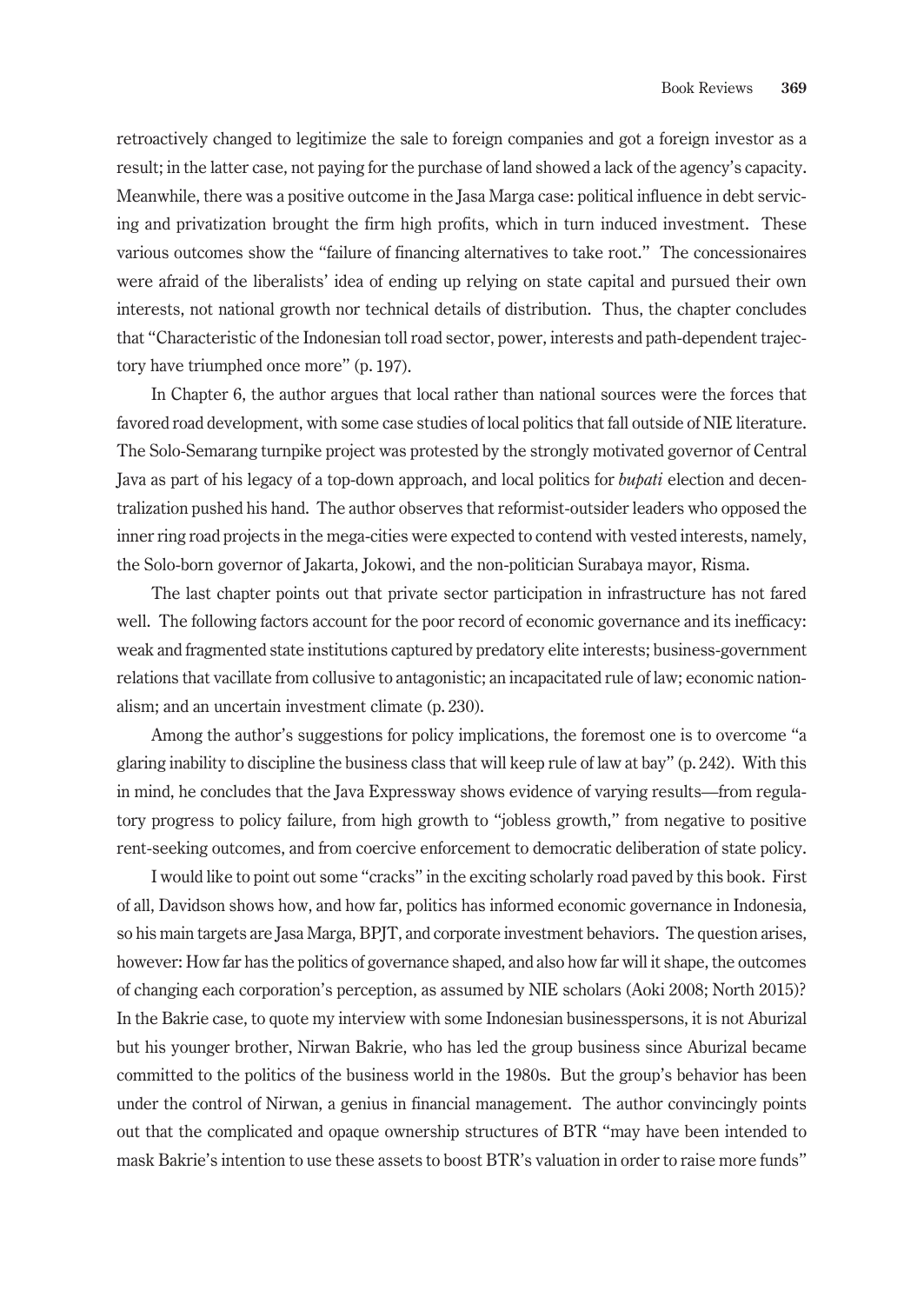retroactively changed to legitimize the sale to foreign companies and got a foreign investor as a result; in the latter case, not paying for the purchase of land showed a lack of the agency's capacity. Meanwhile, there was a positive outcome in the Jasa Marga case: political influence in debt servicing and privatization brought the firm high profits, which in turn induced investment. These various outcomes show the "failure of financing alternatives to take root." The concessionaires were afraid of the liberalists' idea of ending up relying on state capital and pursued their own interests, not national growth nor technical details of distribution. Thus, the chapter concludes that "Characteristic of the Indonesian toll road sector, power, interests and path-dependent trajectory have triumphed once more" (p. 197).

In Chapter 6, the author argues that local rather than national sources were the forces that favored road development, with some case studies of local politics that fall outside of NIE literature. The Solo-Semarang turnpike project was protested by the strongly motivated governor of Central Java as part of his legacy of a top-down approach, and local politics for *bupati* election and decentralization pushed his hand. The author observes that reformist-outsider leaders who opposed the inner ring road projects in the mega-cities were expected to contend with vested interests, namely, the Solo-born governor of Jakarta, Jokowi, and the non-politician Surabaya mayor, Risma.

The last chapter points out that private sector participation in infrastructure has not fared well. The following factors account for the poor record of economic governance and its inefficacy: weak and fragmented state institutions captured by predatory elite interests; business-government relations that vacillate from collusive to antagonistic; an incapacitated rule of law; economic nationalism; and an uncertain investment climate (p. 230).

Among the author's suggestions for policy implications, the foremost one is to overcome "a glaring inability to discipline the business class that will keep rule of law at bay" (p. 242). With this in mind, he concludes that the Java Expressway shows evidence of varying results—from regulatory progress to policy failure, from high growth to "jobless growth," from negative to positive rent-seeking outcomes, and from coercive enforcement to democratic deliberation of state policy.

I would like to point out some "cracks" in the exciting scholarly road paved by this book. First of all, Davidson shows how, and how far, politics has informed economic governance in Indonesia, so his main targets are Jasa Marga, BPJT, and corporate investment behaviors. The question arises, however: How far has the politics of governance shaped, and also how far will it shape, the outcomes of changing each corporation's perception, as assumed by NIE scholars (Aoki 2008; North 2015)? In the Bakrie case, to quote my interview with some Indonesian businesspersons, it is not Aburizal but his younger brother, Nirwan Bakrie, who has led the group business since Aburizal became committed to the politics of the business world in the 1980s. But the group's behavior has been under the control of Nirwan, a genius in financial management. The author convincingly points out that the complicated and opaque ownership structures of BTR "may have been intended to mask Bakrie's intention to use these assets to boost BTR's valuation in order to raise more funds"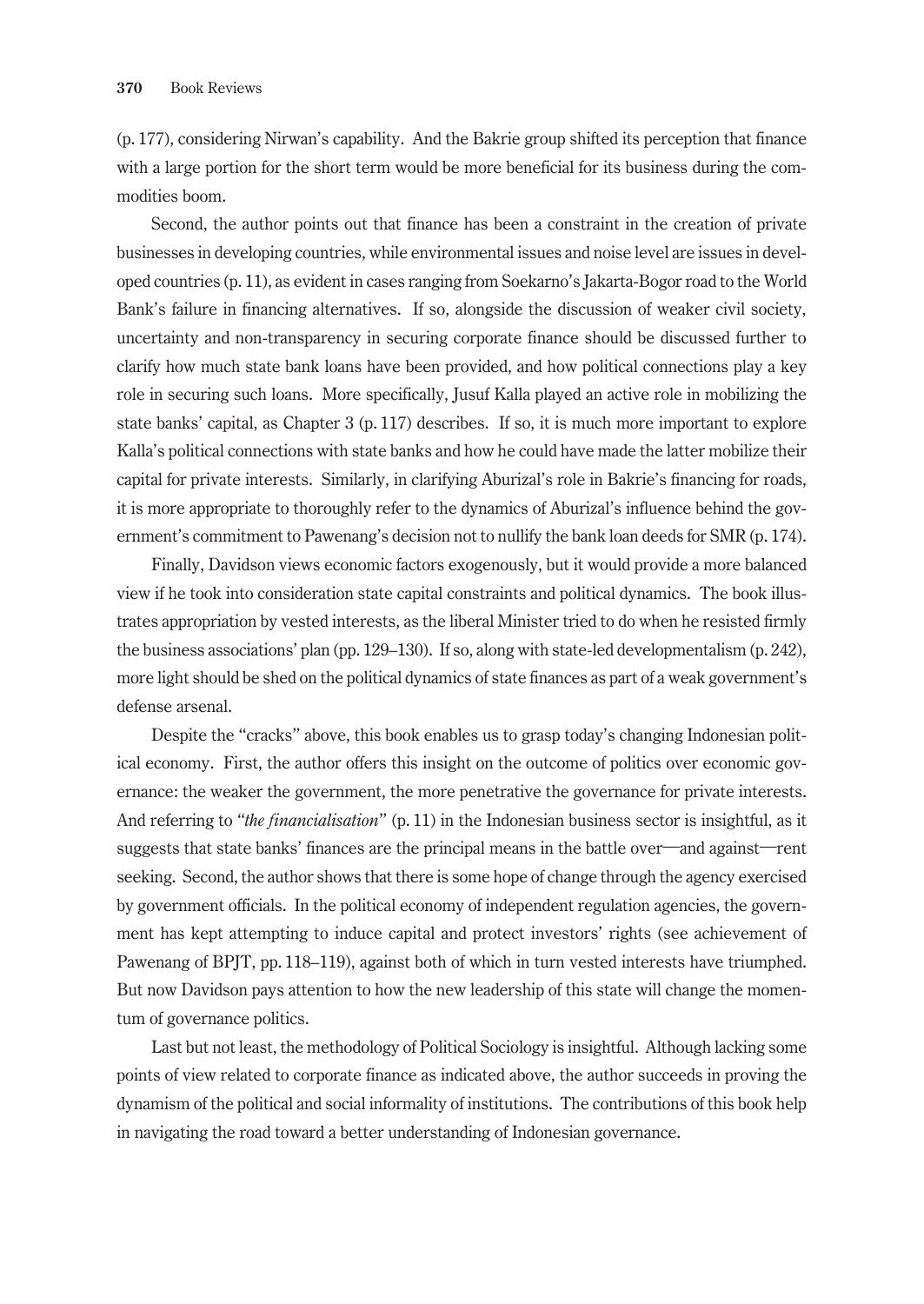(p. 177), considering Nirwan's capability. And the Bakrie group shifted its perception that finance with a large portion for the short term would be more beneficial for its business during the commodities boom.

Second, the author points out that finance has been a constraint in the creation of private businesses in developing countries, while environmental issues and noise level are issues in developed countries (p. 11), as evident in cases ranging from Soekarno's Jakarta-Bogor road to the World Bank's failure in financing alternatives. If so, alongside the discussion of weaker civil society, uncertainty and non-transparency in securing corporate finance should be discussed further to clarify how much state bank loans have been provided, and how political connections play a key role in securing such loans. More specifically, Jusuf Kalla played an active role in mobilizing the state banks' capital, as Chapter 3 (p. 117) describes. If so, it is much more important to explore Kalla's political connections with state banks and how he could have made the latter mobilize their capital for private interests. Similarly, in clarifying Aburizal's role in Bakrie's financing for roads, it is more appropriate to thoroughly refer to the dynamics of Aburizal's influence behind the government's commitment to Pawenang's decision not to nullify the bank loan deeds for SMR (p. 174).

Finally, Davidson views economic factors exogenously, but it would provide a more balanced view if he took into consideration state capital constraints and political dynamics. The book illustrates appropriation by vested interests, as the liberal Minister tried to do when he resisted firmly the business associations' plan (pp. 129–130). If so, along with state-led developmentalism (p. 242), more light should be shed on the political dynamics of state finances as part of a weak government's defense arsenal.

Despite the "cracks" above, this book enables us to grasp today's changing Indonesian political economy. First, the author offers this insight on the outcome of politics over economic governance: the weaker the government, the more penetrative the governance for private interests. And referring to "*the financialisation*" (p. 11) in the Indonesian business sector is insightful, as it suggests that state banks' finances are the principal means in the battle over―and against―rent seeking. Second, the author shows that there is some hope of change through the agency exercised by government officials. In the political economy of independent regulation agencies, the government has kept attempting to induce capital and protect investors' rights (see achievement of Pawenang of BPJT, pp. 118–119), against both of which in turn vested interests have triumphed. But now Davidson pays attention to how the new leadership of this state will change the momentum of governance politics.

Last but not least, the methodology of Political Sociology is insightful. Although lacking some points of view related to corporate finance as indicated above, the author succeeds in proving the dynamism of the political and social informality of institutions. The contributions of this book help in navigating the road toward a better understanding of Indonesian governance.